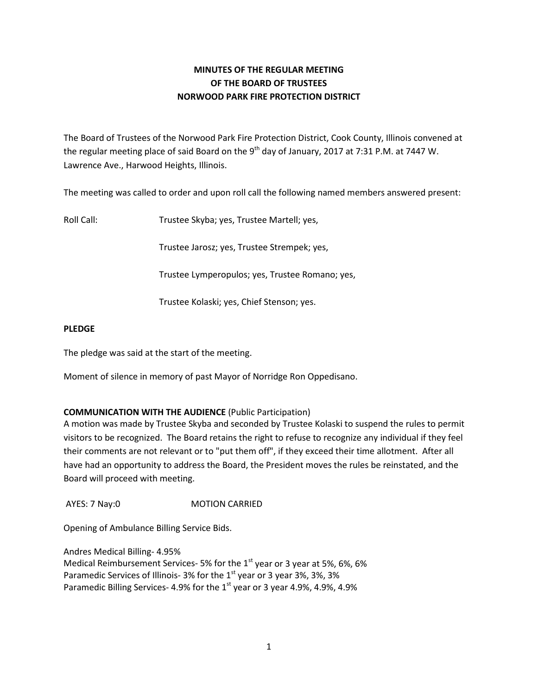# **MINUTES OF THE REGULAR MEETING OF THE BOARD OF TRUSTEES NORWOOD PARK FIRE PROTECTION DISTRICT**

The Board of Trustees of the Norwood Park Fire Protection District, Cook County, Illinois convened at the regular meeting place of said Board on the 9<sup>th</sup> day of January, 2017 at 7:31 P.M. at 7447 W. Lawrence Ave., Harwood Heights, Illinois.

The meeting was called to order and upon roll call the following named members answered present:

Roll Call: Trustee Skyba; yes, Trustee Martell; yes,

Trustee Jarosz; yes, Trustee Strempek; yes,

Trustee Lymperopulos; yes, Trustee Romano; yes,

Trustee Kolaski; yes, Chief Stenson; yes.

### **PLEDGE**

The pledge was said at the start of the meeting.

Moment of silence in memory of past Mayor of Norridge Ron Oppedisano.

## **COMMUNICATION WITH THE AUDIENCE** (Public Participation)

A motion was made by Trustee Skyba and seconded by Trustee Kolaski to suspend the rules to permit visitors to be recognized. The Board retains the right to refuse to recognize any individual if they feel their comments are not relevant or to "put them off", if they exceed their time allotment. After all have had an opportunity to address the Board, the President moves the rules be reinstated, and the Board will proceed with meeting.

AYES: 7 Nay:0 **MOTION CARRIED** 

Opening of Ambulance Billing Service Bids.

Andres Medical Billing- 4.95% Medical Reimbursement Services- 5% for the  $1<sup>st</sup>$  year or 3 year at 5%, 6%, 6% Paramedic Services of Illinois- 3% for the  $1<sup>st</sup>$  year or 3 year 3%, 3%, 3% Paramedic Billing Services- 4.9% for the  $1<sup>st</sup>$  year or 3 year 4.9%, 4.9%, 4.9%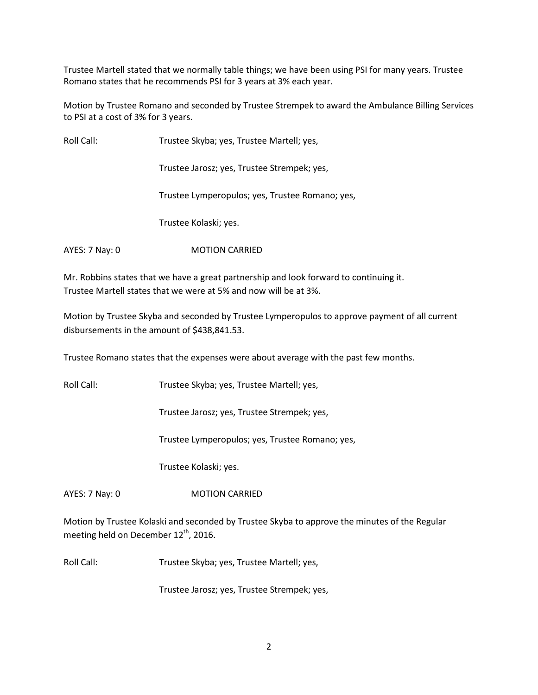Trustee Martell stated that we normally table things; we have been using PSI for many years. Trustee Romano states that he recommends PSI for 3 years at 3% each year.

Motion by Trustee Romano and seconded by Trustee Strempek to award the Ambulance Billing Services to PSI at a cost of 3% for 3 years.

Roll Call: Trustee Skyba; yes, Trustee Martell; yes,

Trustee Jarosz; yes, Trustee Strempek; yes,

Trustee Lymperopulos; yes, Trustee Romano; yes,

Trustee Kolaski; yes.

AYES: 7 Nay: 0 **MOTION CARRIED** 

Mr. Robbins states that we have a great partnership and look forward to continuing it. Trustee Martell states that we were at 5% and now will be at 3%.

Motion by Trustee Skyba and seconded by Trustee Lymperopulos to approve payment of all current disbursements in the amount of \$438,841.53.

Trustee Romano states that the expenses were about average with the past few months.

Roll Call: Trustee Skyba; yes, Trustee Martell; yes,

Trustee Jarosz; yes, Trustee Strempek; yes,

Trustee Lymperopulos; yes, Trustee Romano; yes,

Trustee Kolaski; yes.

AYES: 7 Nay: 0 MOTION CARRIED

Motion by Trustee Kolaski and seconded by Trustee Skyba to approve the minutes of the Regular meeting held on December 12<sup>th</sup>, 2016.

Roll Call: Trustee Skyba; yes, Trustee Martell; yes,

Trustee Jarosz; yes, Trustee Strempek; yes,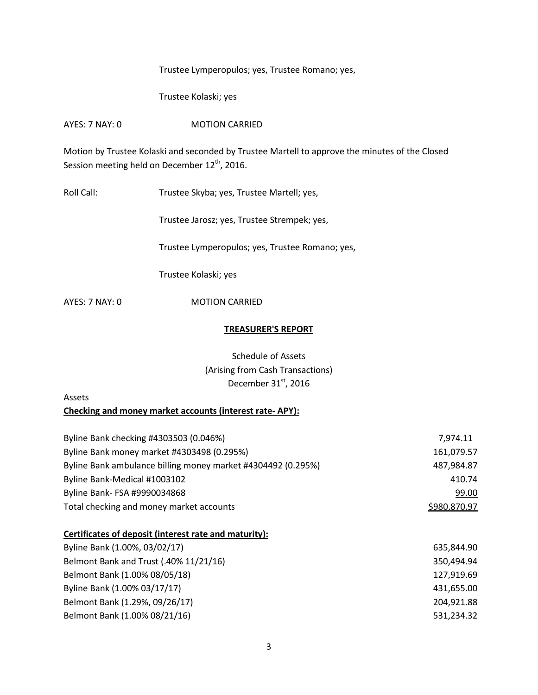Trustee Lymperopulos; yes, Trustee Romano; yes,

Trustee Kolaski; yes

AYES: 7 NAY: 0 MOTION CARRIED

Motion by Trustee Kolaski and seconded by Trustee Martell to approve the minutes of the Closed Session meeting held on December 12<sup>th</sup>, 2016.

Roll Call: Trustee Skyba; yes, Trustee Martell; yes,

Trustee Jarosz; yes, Trustee Strempek; yes,

Trustee Lymperopulos; yes, Trustee Romano; yes,

Trustee Kolaski; yes

AYES: 7 NAY: 0 MOTION CARRIED

#### **TREASURER'S REPORT**

Schedule of Assets (Arising from Cash Transactions) December  $31<sup>st</sup>$ , 2016

### Assets

**Checking and money market accounts (interest rate- APY):** 

| Byline Bank checking #4303503 (0.046%)                       | 7,974.11     |
|--------------------------------------------------------------|--------------|
| Byline Bank money market #4303498 (0.295%)                   | 161,079.57   |
| Byline Bank ambulance billing money market #4304492 (0.295%) | 487,984.87   |
| Byline Bank-Medical #1003102                                 | 410.74       |
| Byline Bank- FSA #9990034868                                 | 99.00        |
| Total checking and money market accounts                     | \$980,870.97 |

### **Certificates of deposit (interest rate and maturity):**

| Byline Bank (1.00%, 03/02/17)          | 635.844.90 |
|----------------------------------------|------------|
| Belmont Bank and Trust (.40% 11/21/16) | 350.494.94 |
| Belmont Bank (1.00% 08/05/18)          | 127,919.69 |
| Byline Bank (1.00% 03/17/17)           | 431,655.00 |
| Belmont Bank (1.29%, 09/26/17)         | 204,921.88 |
| Belmont Bank (1.00% 08/21/16)          | 531,234.32 |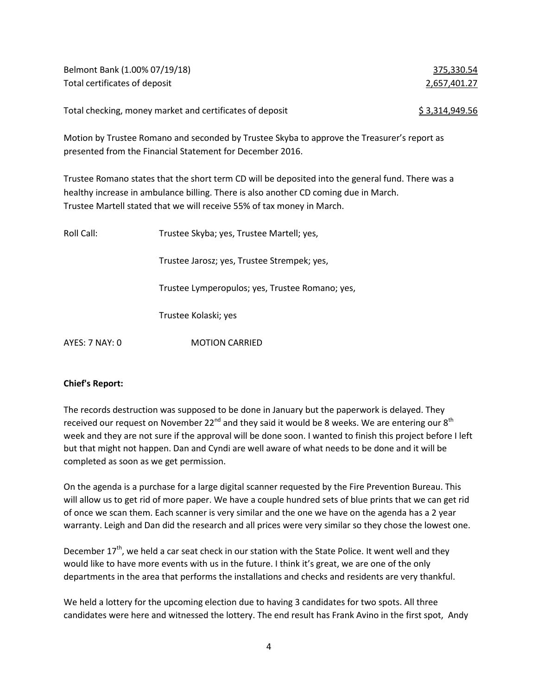| Belmont Bank (1.00% 07/19/18)                            | 375,330.54     |
|----------------------------------------------------------|----------------|
| Total certificates of deposit                            | 2,657,401.27   |
| Total checking, money market and certificates of deposit | \$3,314,949.56 |

Motion by Trustee Romano and seconded by Trustee Skyba to approve the Treasurer's report as presented from the Financial Statement for December 2016.

Trustee Romano states that the short term CD will be deposited into the general fund. There was a healthy increase in ambulance billing. There is also another CD coming due in March. Trustee Martell stated that we will receive 55% of tax money in March.

| Roll Call:     | Trustee Skyba; yes, Trustee Martell; yes,       |  |
|----------------|-------------------------------------------------|--|
|                | Trustee Jarosz; yes, Trustee Strempek; yes,     |  |
|                | Trustee Lymperopulos; yes, Trustee Romano; yes, |  |
|                | Trustee Kolaski; yes                            |  |
| AYES: 7 NAY: 0 | <b>MOTION CARRIED</b>                           |  |

### **Chief's Report:**

The records destruction was supposed to be done in January but the paperwork is delayed. They received our request on November 22<sup>nd</sup> and they said it would be 8 weeks. We are entering our  $8<sup>th</sup>$ week and they are not sure if the approval will be done soon. I wanted to finish this project before I left but that might not happen. Dan and Cyndi are well aware of what needs to be done and it will be completed as soon as we get permission.

On the agenda is a purchase for a large digital scanner requested by the Fire Prevention Bureau. This will allow us to get rid of more paper. We have a couple hundred sets of blue prints that we can get rid of once we scan them. Each scanner is very similar and the one we have on the agenda has a 2 year warranty. Leigh and Dan did the research and all prices were very similar so they chose the lowest one.

December  $17<sup>th</sup>$ , we held a car seat check in our station with the State Police. It went well and they would like to have more events with us in the future. I think it's great, we are one of the only departments in the area that performs the installations and checks and residents are very thankful.

We held a lottery for the upcoming election due to having 3 candidates for two spots. All three candidates were here and witnessed the lottery. The end result has Frank Avino in the first spot, Andy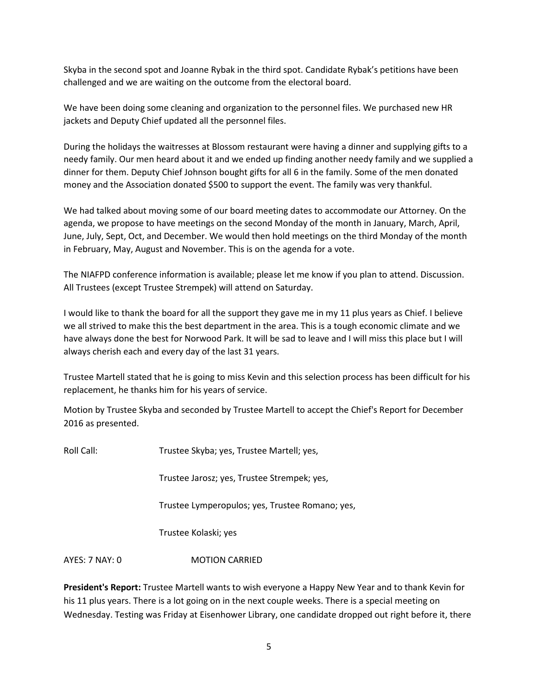Skyba in the second spot and Joanne Rybak in the third spot. Candidate Rybak's petitions have been challenged and we are waiting on the outcome from the electoral board.

We have been doing some cleaning and organization to the personnel files. We purchased new HR jackets and Deputy Chief updated all the personnel files.

During the holidays the waitresses at Blossom restaurant were having a dinner and supplying gifts to a needy family. Our men heard about it and we ended up finding another needy family and we supplied a dinner for them. Deputy Chief Johnson bought gifts for all 6 in the family. Some of the men donated money and the Association donated \$500 to support the event. The family was very thankful.

We had talked about moving some of our board meeting dates to accommodate our Attorney. On the agenda, we propose to have meetings on the second Monday of the month in January, March, April, June, July, Sept, Oct, and December. We would then hold meetings on the third Monday of the month in February, May, August and November. This is on the agenda for a vote.

The NIAFPD conference information is available; please let me know if you plan to attend. Discussion. All Trustees (except Trustee Strempek) will attend on Saturday.

I would like to thank the board for all the support they gave me in my 11 plus years as Chief. I believe we all strived to make this the best department in the area. This is a tough economic climate and we have always done the best for Norwood Park. It will be sad to leave and I will miss this place but I will always cherish each and every day of the last 31 years.

Trustee Martell stated that he is going to miss Kevin and this selection process has been difficult for his replacement, he thanks him for his years of service.

Motion by Trustee Skyba and seconded by Trustee Martell to accept the Chief's Report for December 2016 as presented.

Roll Call: Trustee Skyba; yes, Trustee Martell; yes,

Trustee Jarosz; yes, Trustee Strempek; yes,

Trustee Lymperopulos; yes, Trustee Romano; yes,

Trustee Kolaski; yes

AYES: 7 NAY: 0 MOTION CARRIED

**President's Report:** Trustee Martell wants to wish everyone a Happy New Year and to thank Kevin for his 11 plus years. There is a lot going on in the next couple weeks. There is a special meeting on Wednesday. Testing was Friday at Eisenhower Library, one candidate dropped out right before it, there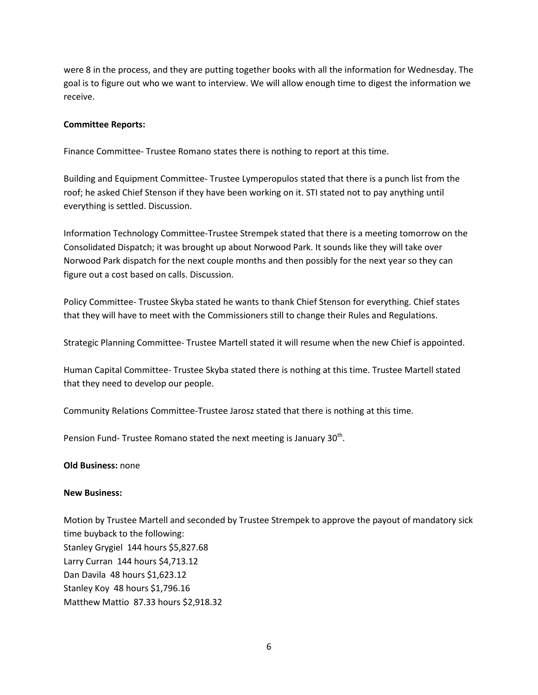were 8 in the process, and they are putting together books with all the information for Wednesday. The goal is to figure out who we want to interview. We will allow enough time to digest the information we receive.

#### **Committee Reports:**

Finance Committee- Trustee Romano states there is nothing to report at this time.

Building and Equipment Committee- Trustee Lymperopulos stated that there is a punch list from the roof; he asked Chief Stenson if they have been working on it. STI stated not to pay anything until everything is settled. Discussion.

Information Technology Committee-Trustee Strempek stated that there is a meeting tomorrow on the Consolidated Dispatch; it was brought up about Norwood Park. It sounds like they will take over Norwood Park dispatch for the next couple months and then possibly for the next year so they can figure out a cost based on calls. Discussion.

Policy Committee- Trustee Skyba stated he wants to thank Chief Stenson for everything. Chief states that they will have to meet with the Commissioners still to change their Rules and Regulations.

Strategic Planning Committee- Trustee Martell stated it will resume when the new Chief is appointed.

Human Capital Committee- Trustee Skyba stated there is nothing at this time. Trustee Martell stated that they need to develop our people.

Community Relations Committee-Trustee Jarosz stated that there is nothing at this time.

Pension Fund- Trustee Romano stated the next meeting is January 30<sup>th</sup>.

#### **Old Business:** none

#### **New Business:**

Motion by Trustee Martell and seconded by Trustee Strempek to approve the payout of mandatory sick time buyback to the following: Stanley Grygiel 144 hours \$5,827.68 Larry Curran 144 hours \$4,713.12 Dan Davila 48 hours \$1,623.12 Stanley Koy 48 hours \$1,796.16 Matthew Mattio 87.33 hours \$2,918.32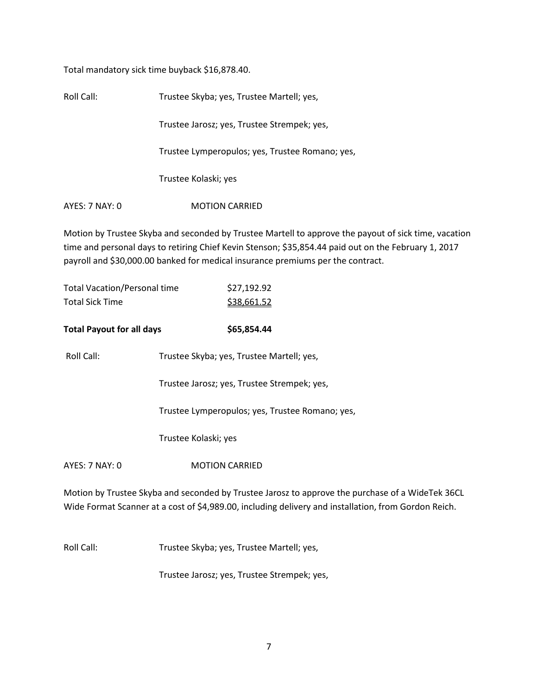Total mandatory sick time buyback \$16,878.40.

| Roll Call:     | Trustee Skyba; yes, Trustee Martell; yes,       |  |  |
|----------------|-------------------------------------------------|--|--|
|                | Trustee Jarosz; yes, Trustee Strempek; yes,     |  |  |
|                | Trustee Lymperopulos; yes, Trustee Romano; yes, |  |  |
|                | Trustee Kolaski; yes                            |  |  |
| AYES: 7 NAY: 0 | <b>MOTION CARRIED</b>                           |  |  |

Motion by Trustee Skyba and seconded by Trustee Martell to approve the payout of sick time, vacation time and personal days to retiring Chief Kevin Stenson; \$35,854.44 paid out on the February 1, 2017 payroll and \$30,000.00 banked for medical insurance premiums per the contract.

| <b>Total Vacation/Personal time</b>                                     |                                           | \$27,192.92                                     |  |
|-------------------------------------------------------------------------|-------------------------------------------|-------------------------------------------------|--|
| <b>Total Sick Time</b>                                                  |                                           | \$38,661.52                                     |  |
|                                                                         |                                           |                                                 |  |
| <b>Total Payout for all days</b>                                        |                                           | \$65,854.44                                     |  |
| Roll Call:                                                              | Trustee Skyba; yes, Trustee Martell; yes, |                                                 |  |
|                                                                         |                                           | Trustee Jarosz; yes, Trustee Strempek; yes,     |  |
|                                                                         |                                           | Trustee Lymperopulos; yes, Trustee Romano; yes, |  |
|                                                                         | Trustee Kolaski; yes                      |                                                 |  |
| AYES: 7 NAY: 0                                                          |                                           | <b>MOTION CARRIED</b>                           |  |
| Motion by Trustee Skyba and seconded by Trustee Jarosz to approve the p |                                           |                                                 |  |

purchase of a WideTek 36CL Wide Format Scanner at a cost of \$4,989.00, including delivery and installation, from Gordon Reich.

Roll Call: Trustee Skyba; yes, Trustee Martell; yes,

Trustee Jarosz; yes, Trustee Strempek; yes,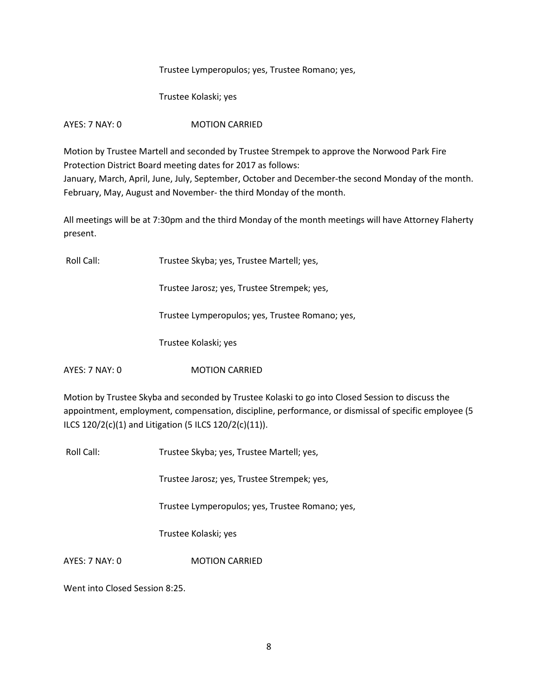Trustee Lymperopulos; yes, Trustee Romano; yes,

Trustee Kolaski; yes

AYES: 7 NAY: 0 MOTION CARRIED

Motion by Trustee Martell and seconded by Trustee Strempek to approve the Norwood Park Fire Protection District Board meeting dates for 2017 as follows: January, March, April, June, July, September, October and December-the second Monday of the month. February, May, August and November- the third Monday of the month.

All meetings will be at 7:30pm and the third Monday of the month meetings will have Attorney Flaherty present.

Roll Call: Trustee Skyba; yes, Trustee Martell; yes,

Trustee Jarosz; yes, Trustee Strempek; yes,

Trustee Lymperopulos; yes, Trustee Romano; yes,

Trustee Kolaski; yes

AYES: 7 NAY: 0 MOTION CARRIED

Motion by Trustee Skyba and seconded by Trustee Kolaski to go into Closed Session to discuss the appointment, employment, compensation, discipline, performance, or dismissal of specific employee (5 ILCS 120/2(c)(1) and Litigation (5 ILCS 120/2(c)(11)).

Roll Call: Trustee Skyba; yes, Trustee Martell; yes,

Trustee Jarosz; yes, Trustee Strempek; yes,

Trustee Lymperopulos; yes, Trustee Romano; yes,

Trustee Kolaski; yes

AYES: 7 NAY: 0 MOTION CARRIED

Went into Closed Session 8:25.